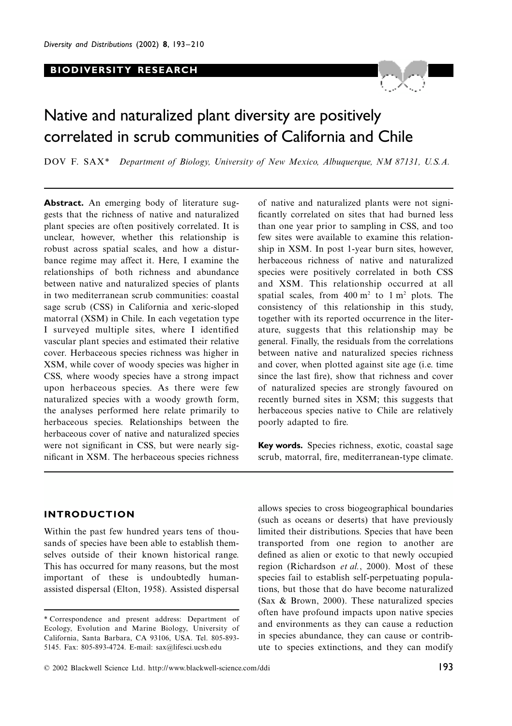# **BIODIVERSITY RESEARCH**



# Native and naturalized plant diversity are positively correlated in scrub communities of California and Chile

DOV F. SAX\* *Department of Biology, University of New Mexico, Albuquerque, NM 87131, U.S.A.* 

Abstract. An emerging body of literature suggests that the richness of native and naturalized plant species are often positively correlated. It is unclear, however, whether this relationship is robust across spatial scales, and how a disturbance regime may affect it. Here, I examine the relationships of both richness and abundance between native and naturalized species of plants in two mediterranean scrub communities: coastal sage scrub (CSS) in California and xeric-sloped matorral (XSM) in Chile. In each vegetation type I surveyed multiple sites, where I identified vascular plant species and estimated their relative cover. Herbaceous species richness was higher in XSM, while cover of woody species was higher in CSS, where woody species have a strong impact upon herbaceous species. As there were few naturalized species with a woody growth form, the analyses performed here relate primarily to herbaceous species. Relationships between the herbaceous cover of native and naturalized species were not significant in CSS, but were nearly significant in XSM. The herbaceous species richness

of native and naturalized plants were not significantly correlated on sites that had burned less than one year prior to sampling in CSS, and too few sites were available to examine this relationship in XSM. In post 1-year burn sites, however, herbaceous richness of native and naturalized species were positively correlated in both CSS and XSM. This relationship occurred at all spatial scales, from  $400 \text{ m}^2$  to  $1 \text{ m}^2$  plots. The consistency of this relationship in this study, together with its reported occurrence in the literature, suggests that this relationship may be general. Finally, the residuals from the correlations between native and naturalized species richness and cover, when plotted against site age (i.e. time since the last fire), show that richness and cover of naturalized species are strongly favoured on recently burned sites in XSM; this suggests that herbaceous species native to Chile are relatively poorly adapted to fire.

**Key words.** Species richness, exotic, coastal sage scrub, matorral, fire, mediterranean-type climate.

## **INTRODUCTION**

Within the past few hundred years tens of thousands of species have been able to establish themselves outside of their known historical range. This has occurred for many reasons, but the most important of these is undoubtedly humanassisted dispersal (Elton, 1958). Assisted dispersal allows species to cross biogeographical boundaries (such as oceans or deserts) that have previously limited their distributions. Species that have been transported from one region to another are defined as alien or exotic to that newly occupied region (Richardson *et al.*, 2000). Most of these species fail to establish self-perpetuating populations, but those that do have become naturalized (Sax & Brown, 2000). These naturalized species often have profound impacts upon native species and environments as they can cause a reduction in species abundance, they can cause or contribute to species extinctions, and they can modify

<sup>\*</sup> Correspondence and present address: Department of Ecology, Evolution and Marine Biology, University of California, Santa Barbara, CA 93106, USA. Tel. 805-893- 5145. Fax: 805-893-4724. E-mail: sax@lifesci.ucsb.edu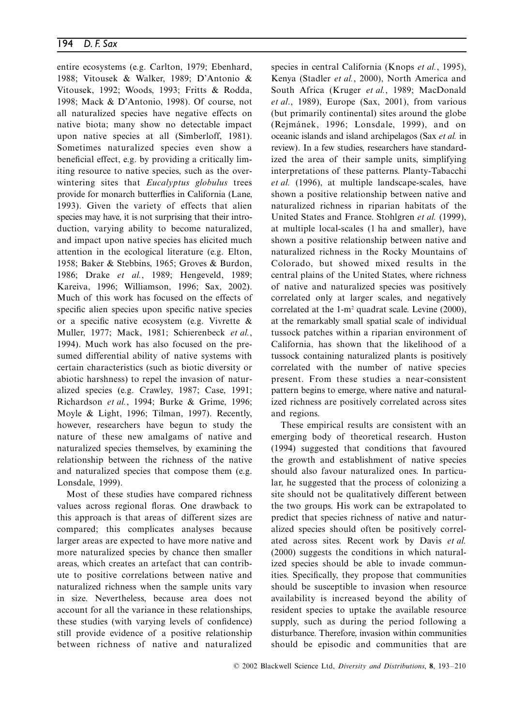entire ecosystems (e.g. Carlton, 1979; Ebenhard, 1988; Vitousek & Walker, 1989; D'Antonio & Vitousek, 1992; Woods, 1993; Fritts & Rodda, 1998; Mack & D'Antonio, 1998). Of course, not all naturalized species have negative effects on native biota; many show no detectable impact upon native species at all (Simberloff, 1981). Sometimes naturalized species even show a beneficial effect, e.g. by providing a critically limiting resource to native species, such as the overwintering sites that *Eucalyptus globulus* trees provide for monarch butterflies in California (Lane, 1993). Given the variety of effects that alien species may have, it is not surprising that their introduction, varying ability to become naturalized, and impact upon native species has elicited much attention in the ecological literature (e.g. Elton, 1958; Baker & Stebbins, 1965; Groves & Burdon, 1986; Drake *et al.*, 1989; Hengeveld, 1989; Kareiva, 1996; Williamson, 1996; Sax, 2002). Much of this work has focused on the effects of specific alien species upon specific native species or a specific native ecosystem (e.g. Vivrette & Muller, 1977; Mack, 1981; Schierenbeck *et al.*, 1994). Much work has also focused on the presumed differential ability of native systems with certain characteristics (such as biotic diversity or abiotic harshness) to repel the invasion of naturalized species (e.g. Crawley, 1987; Case, 1991; Richardson *et al.*, 1994; Burke & Grime, 1996; Moyle & Light, 1996; Tilman, 1997). Recently, however, researchers have begun to study the nature of these new amalgams of native and naturalized species themselves, by examining the relationship between the richness of the native and naturalized species that compose them (e.g. Lonsdale, 1999).

Most of these studies have compared richness values across regional floras. One drawback to this approach is that areas of different sizes are compared; this complicates analyses because larger areas are expected to have more native and more naturalized species by chance then smaller areas, which creates an artefact that can contribute to positive correlations between native and naturalized richness when the sample units vary in size. Nevertheless, because area does not account for all the variance in these relationships, these studies (with varying levels of confidence) still provide evidence of a positive relationship between richness of native and naturalized species in central California (Knops *et al.*, 1995), Kenya (Stadler *et al.*, 2000), North America and South Africa (Kruger *et al.*, 1989; MacDonald *et al*., 1989), Europe (Sax, 2001), from various (but primarily continental) sites around the globe (Rejmánek, 1996; Lonsdale, 1999), and on oceanic islands and island archipelagos (Sax *et al.* in review). In a few studies, researchers have standardized the area of their sample units, simplifying interpretations of these patterns. Planty-Tabacchi *et al.* (1996), at multiple landscape-scales, have shown a positive relationship between native and naturalized richness in riparian habitats of the United States and France. Stohlgren *et al.* (1999), at multiple local-scales (1 ha and smaller), have shown a positive relationship between native and naturalized richness in the Rocky Mountains of Colorado, but showed mixed results in the central plains of the United States, where richness of native and naturalized species was positively correlated only at larger scales, and negatively correlated at the  $1-m^2$  quadrat scale. Levine  $(2000)$ , at the remarkably small spatial scale of individual tussock patches within a riparian environment of California, has shown that the likelihood of a tussock containing naturalized plants is positively correlated with the number of native species present. From these studies a near-consistent pattern begins to emerge, where native and naturalized richness are positively correlated across sites and regions.

These empirical results are consistent with an emerging body of theoretical research. Huston (1994) suggested that conditions that favoured the growth and establishment of native species should also favour naturalized ones. In particular, he suggested that the process of colonizing a site should not be qualitatively different between the two groups. His work can be extrapolated to predict that species richness of native and naturalized species should often be positively correlated across sites. Recent work by Davis *et al.* (2000) suggests the conditions in which naturalized species should be able to invade communities. Specifically, they propose that communities should be susceptible to invasion when resource availability is increased beyond the ability of resident species to uptake the available resource supply, such as during the period following a disturbance. Therefore, invasion within communities should be episodic and communities that are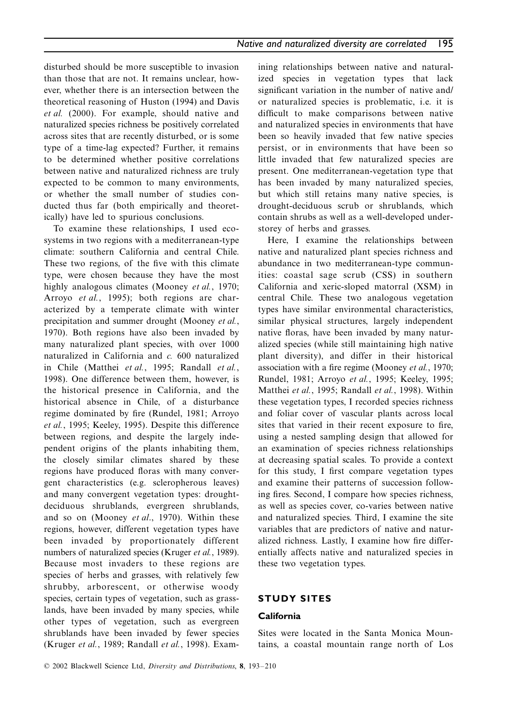disturbed should be more susceptible to invasion than those that are not. It remains unclear, however, whether there is an intersection between the theoretical reasoning of Huston (1994) and Davis *et al.* (2000). For example, should native and naturalized species richness be positively correlated across sites that are recently disturbed, or is some type of a time-lag expected? Further, it remains to be determined whether positive correlations between native and naturalized richness are truly expected to be common to many environments, or whether the small number of studies conducted thus far (both empirically and theoretically) have led to spurious conclusions.

To examine these relationships, I used ecosystems in two regions with a mediterranean-type climate: southern California and central Chile. These two regions, of the five with this climate type, were chosen because they have the most highly analogous climates (Mooney *et al.*, 1970; Arroyo *et al.*, 1995); both regions are characterized by a temperate climate with winter precipitation and summer drought (Mooney *et al.*, 1970). Both regions have also been invaded by many naturalized plant species, with over 1000 naturalized in California and *c.* 600 naturalized in Chile (Matthei *et al.*, 1995; Randall *et al.*, 1998). One difference between them, however, is the historical presence in California, and the historical absence in Chile, of a disturbance regime dominated by fire (Rundel, 1981; Arroyo *et al.*, 1995; Keeley, 1995). Despite this difference between regions, and despite the largely independent origins of the plants inhabiting them, the closely similar climates shared by these regions have produced floras with many convergent characteristics (e.g. scleropherous leaves) and many convergent vegetation types: droughtdeciduous shrublands, evergreen shrublands, and so on (Mooney *et al*., 1970). Within these regions, however, different vegetation types have been invaded by proportionately different numbers of naturalized species (Kruger *et al.*, 1989). Because most invaders to these regions are species of herbs and grasses, with relatively few shrubby, arborescent, or otherwise woody species, certain types of vegetation, such as grasslands, have been invaded by many species, while other types of vegetation, such as evergreen shrublands have been invaded by fewer species (Kruger *et al.*, 1989; Randall *et al.*, 1998). Examining relationships between native and naturalized species in vegetation types that lack significant variation in the number of native and/ or naturalized species is problematic, i.e. it is difficult to make comparisons between native and naturalized species in environments that have been so heavily invaded that few native species persist, or in environments that have been so little invaded that few naturalized species are present. One mediterranean-vegetation type that has been invaded by many naturalized species, but which still retains many native species, is drought-deciduous scrub or shrublands, which contain shrubs as well as a well-developed understorey of herbs and grasses.

Here, I examine the relationships between native and naturalized plant species richness and abundance in two mediterranean-type communities: coastal sage scrub (CSS) in southern California and xeric-sloped matorral (XSM) in central Chile. These two analogous vegetation types have similar environmental characteristics, similar physical structures, largely independent native floras, have been invaded by many naturalized species (while still maintaining high native plant diversity), and differ in their historical association with a fire regime (Mooney *et al.*, 1970; Rundel, 1981; Arroyo *et al.*, 1995; Keeley, 1995; Matthei *et al.*, 1995; Randall *et al.*, 1998). Within these vegetation types, I recorded species richness and foliar cover of vascular plants across local sites that varied in their recent exposure to fire, using a nested sampling design that allowed for an examination of species richness relationships at decreasing spatial scales. To provide a context for this study, I first compare vegetation types and examine their patterns of succession following fires. Second, I compare how species richness, as well as species cover, co-varies between native and naturalized species. Third, I examine the site variables that are predictors of native and naturalized richness. Lastly, I examine how fire differentially affects native and naturalized species in these two vegetation types.

## **STUDY SITES**

#### **California**

Sites were located in the Santa Monica Mountains, a coastal mountain range north of Los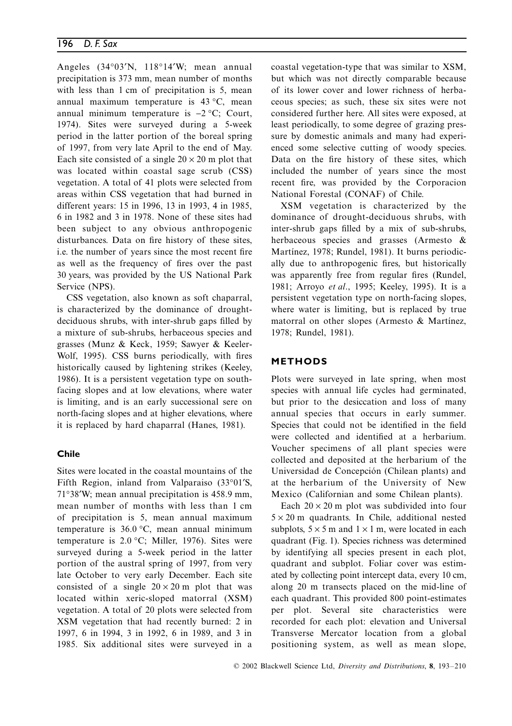Angeles (34°03′N, 118°14′W; mean annual precipitation is 373 mm, mean number of months with less than 1 cm of precipitation is 5, mean annual maximum temperature is 43 °C, mean annual minimum temperature is −2 °C; Court, 1974). Sites were surveyed during a 5-week period in the latter portion of the boreal spring of 1997, from very late April to the end of May. Each site consisted of a single  $20 \times 20$  m plot that was located within coastal sage scrub (CSS) vegetation. A total of 41 plots were selected from areas within CSS vegetation that had burned in different years: 15 in 1996, 13 in 1993, 4 in 1985, 6 in 1982 and 3 in 1978. None of these sites had been subject to any obvious anthropogenic disturbances. Data on fire history of these sites, i.e. the number of years since the most recent fire as well as the frequency of fires over the past 30 years, was provided by the US National Park Service (NPS).

CSS vegetation, also known as soft chaparral, is characterized by the dominance of droughtdeciduous shrubs, with inter-shrub gaps filled by a mixture of sub-shrubs, herbaceous species and grasses (Munz & Keck, 1959; Sawyer & Keeler-Wolf, 1995). CSS burns periodically, with fires historically caused by lightening strikes (Keeley, 1986). It is a persistent vegetation type on southfacing slopes and at low elevations, where water is limiting, and is an early successional sere on north-facing slopes and at higher elevations, where it is replaced by hard chaparral (Hanes, 1981).

# **Chile**

Sites were located in the coastal mountains of the Fifth Region, inland from Valparaiso (33°01′S, 71°38′W; mean annual precipitation is 458.9 mm, mean number of months with less than 1 cm of precipitation is 5, mean annual maximum temperature is 36.0 °C, mean annual minimum temperature is 2.0 °C; Miller, 1976). Sites were surveyed during a 5-week period in the latter portion of the austral spring of 1997, from very late October to very early December. Each site consisted of a single  $20 \times 20$  m plot that was located within xeric-sloped matorral (XSM) vegetation. A total of 20 plots were selected from XSM vegetation that had recently burned: 2 in 1997, 6 in 1994, 3 in 1992, 6 in 1989, and 3 in 1985. Six additional sites were surveyed in a coastal vegetation-type that was similar to XSM, but which was not directly comparable because of its lower cover and lower richness of herbaceous species; as such, these six sites were not considered further here. All sites were exposed, at least periodically, to some degree of grazing pressure by domestic animals and many had experienced some selective cutting of woody species. Data on the fire history of these sites, which included the number of years since the most recent fire, was provided by the Corporacion National Forestal (CONAF) of Chile.

XSM vegetation is characterized by the dominance of drought-deciduous shrubs, with inter-shrub gaps filled by a mix of sub-shrubs, herbaceous species and grasses (Armesto & Martínez, 1978; Rundel, 1981). It burns periodically due to anthropogenic fires, but historically was apparently free from regular fires (Rundel, 1981; Arroyo *et al*., 1995; Keeley, 1995). It is a persistent vegetation type on north-facing slopes, where water is limiting, but is replaced by true matorral on other slopes (Armesto & Martínez, 1978; Rundel, 1981).

## **METHODS**

Plots were surveyed in late spring, when most species with annual life cycles had germinated, but prior to the desiccation and loss of many annual species that occurs in early summer. Species that could not be identified in the field were collected and identified at a herbarium. Voucher specimens of all plant species were collected and deposited at the herbarium of the Universidad de Concepción (Chilean plants) and at the herbarium of the University of New Mexico (Californian and some Chilean plants).

Each  $20 \times 20$  m plot was subdivided into four  $5 \times 20$  m quadrants. In Chile, additional nested subplots,  $5 \times 5$  m and  $1 \times 1$  m, were located in each quadrant (Fig. 1). Species richness was determined by identifying all species present in each plot, quadrant and subplot. Foliar cover was estimated by collecting point intercept data, every 10 cm, along 20 m transects placed on the mid-line of each quadrant. This provided 800 point-estimates per plot. Several site characteristics were recorded for each plot: elevation and Universal Transverse Mercator location from a global positioning system, as well as mean slope,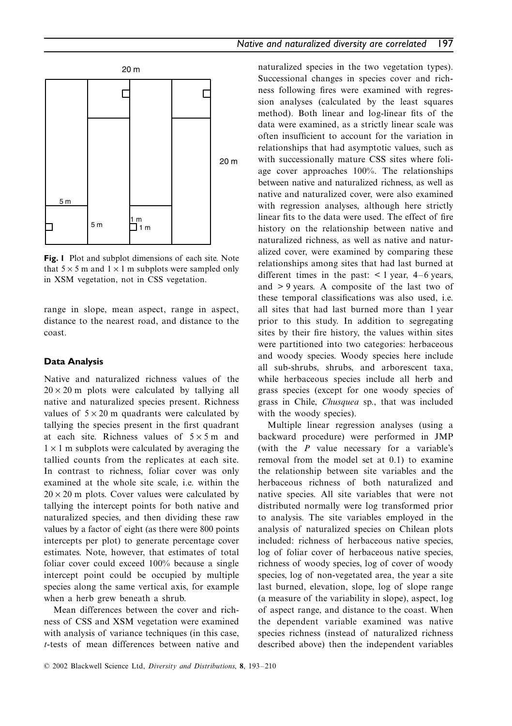

**Fig. 1** Plot and subplot dimensions of each site. Note that  $5 \times 5$  m and  $1 \times 1$  m subplots were sampled only in XSM vegetation, not in CSS vegetation.

range in slope, mean aspect, range in aspect, distance to the nearest road, and distance to the coast.

#### **Data Analysis**

Native and naturalized richness values of the  $20 \times 20$  m plots were calculated by tallying all native and naturalized species present. Richness values of  $5 \times 20$  m quadrants were calculated by tallying the species present in the first quadrant at each site. Richness values of  $5 \times 5$  m and  $1 \times 1$  m subplots were calculated by averaging the tallied counts from the replicates at each site. In contrast to richness, foliar cover was only examined at the whole site scale, i.e. within the  $20 \times 20$  m plots. Cover values were calculated by tallying the intercept points for both native and naturalized species, and then dividing these raw values by a factor of eight (as there were 800 points intercepts per plot) to generate percentage cover estimates. Note, however, that estimates of total foliar cover could exceed 100% because a single intercept point could be occupied by multiple species along the same vertical axis, for example when a herb grew beneath a shrub.

Mean differences between the cover and richness of CSS and XSM vegetation were examined with analysis of variance techniques (in this case, *t*-tests of mean differences between native and naturalized species in the two vegetation types). Successional changes in species cover and richness following fires were examined with regression analyses (calculated by the least squares method). Both linear and log-linear fits of the data were examined, as a strictly linear scale was often insufficient to account for the variation in relationships that had asymptotic values, such as with successionally mature CSS sites where foliage cover approaches 100%. The relationships between native and naturalized richness, as well as native and naturalized cover, were also examined with regression analyses, although here strictly linear fits to the data were used. The effect of fire history on the relationship between native and naturalized richness, as well as native and naturalized cover, were examined by comparing these relationships among sites that had last burned at different times in the past:  $\lt$  1 year, 4–6 years, and > 9 years. A composite of the last two of these temporal classifications was also used, i.e. all sites that had last burned more than 1 year prior to this study. In addition to segregating sites by their fire history, the values within sites were partitioned into two categories: herbaceous and woody species. Woody species here include all sub-shrubs, shrubs, and arborescent taxa, while herbaceous species include all herb and grass species (except for one woody species of grass in Chile, *Chusquea* sp., that was included with the woody species).

Multiple linear regression analyses (using a backward procedure) were performed in JMP (with the *P* value necessary for a variable's removal from the model set at 0.1) to examine the relationship between site variables and the herbaceous richness of both naturalized and native species. All site variables that were not distributed normally were log transformed prior to analysis. The site variables employed in the analysis of naturalized species on Chilean plots included: richness of herbaceous native species, log of foliar cover of herbaceous native species, richness of woody species, log of cover of woody species, log of non-vegetated area, the year a site last burned, elevation, slope, log of slope range (a measure of the variability in slope), aspect, log of aspect range, and distance to the coast. When the dependent variable examined was native species richness (instead of naturalized richness described above) then the independent variables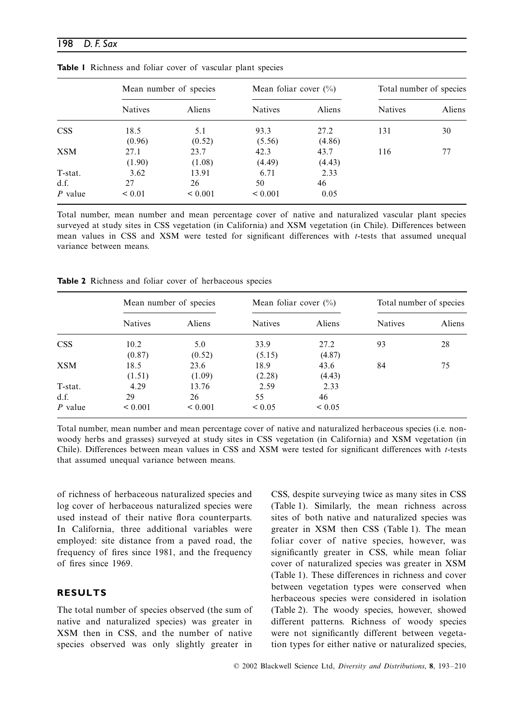|            | Mean number of species |                | Mean foliar cover $(\%)$ |                | Total number of species |        |
|------------|------------------------|----------------|--------------------------|----------------|-------------------------|--------|
|            | <b>Natives</b>         | Aliens         | <b>Natives</b>           | Aliens         | <b>Natives</b>          | Aliens |
| <b>CSS</b> | 18.5                   | 5.1            | 93.3                     | 27.2           | 131                     | 30     |
| <b>XSM</b> | (0.96)<br>27.1         | (0.52)<br>23.7 | (5.56)<br>42.3           | (4.86)<br>43.7 | 116                     |        |
|            | (1.90)                 | (1.08)         | (4.49)                   | (4.43)         |                         |        |
| T-stat.    | 3.62                   | 13.91          | 6.71                     | 2.33           |                         |        |
| d.f.       | 27                     | 26             | 50                       | 46             |                         |        |
| $P$ value  | ${}_{0.01}$            | ${}_{0.001}$   | ${}_{0.001}$             | 0.05           |                         |        |

**Table 1** Richness and foliar cover of vascular plant species

Total number, mean number and mean percentage cover of native and naturalized vascular plant species surveyed at study sites in CSS vegetation (in California) and XSM vegetation (in Chile). Differences between mean values in CSS and XSM were tested for significant differences with *t*-tests that assumed unequal variance between means.

|            | Mean number of species |              | Mean foliar cover $(\%)$ |            | Total number of species |        |
|------------|------------------------|--------------|--------------------------|------------|-------------------------|--------|
|            | <b>Natives</b>         | Aliens       | <b>Natives</b>           | Aliens     | <b>Natives</b>          | Aliens |
| <b>CSS</b> | 10.2                   | 5.0          | 33.9                     | 27.2       | 93                      | 28     |
|            | (0.87)                 | (0.52)       | (5.15)                   | (4.87)     |                         |        |
| <b>XSM</b> | 18.5                   | 23.6         | 18.9                     | 43.6       | 84                      | 75     |
|            | (1.51)                 | (1.09)       | (2.28)                   | (4.43)     |                         |        |
| T-stat.    | 4.29                   | 13.76        | 2.59                     | 2.33       |                         |        |
| d.f.       | 29                     | 26           | 55                       | 46         |                         |        |
| $P$ value  | ${}_{0.001}$           | ${}_{0.001}$ | ${}_{0.05}$              | ${}< 0.05$ |                         |        |

**Table 2** Richness and foliar cover of herbaceous species

Total number, mean number and mean percentage cover of native and naturalized herbaceous species (i.e. nonwoody herbs and grasses) surveyed at study sites in CSS vegetation (in California) and XSM vegetation (in Chile). Differences between mean values in CSS and XSM were tested for significant differences with *t*-tests that assumed unequal variance between means.

of richness of herbaceous naturalized species and log cover of herbaceous naturalized species were used instead of their native flora counterparts. In California, three additional variables were employed: site distance from a paved road, the frequency of fires since 1981, and the frequency of fires since 1969.

## **RESULTS**

The total number of species observed (the sum of native and naturalized species) was greater in XSM then in CSS, and the number of native species observed was only slightly greater in

CSS, despite surveying twice as many sites in CSS (Table 1). Similarly, the mean richness across sites of both native and naturalized species was greater in XSM then CSS (Table 1). The mean foliar cover of native species, however, was significantly greater in CSS, while mean foliar cover of naturalized species was greater in XSM (Table 1). These differences in richness and cover between vegetation types were conserved when herbaceous species were considered in isolation (Table 2). The woody species, however, showed different patterns. Richness of woody species were not significantly different between vegetation types for either native or naturalized species,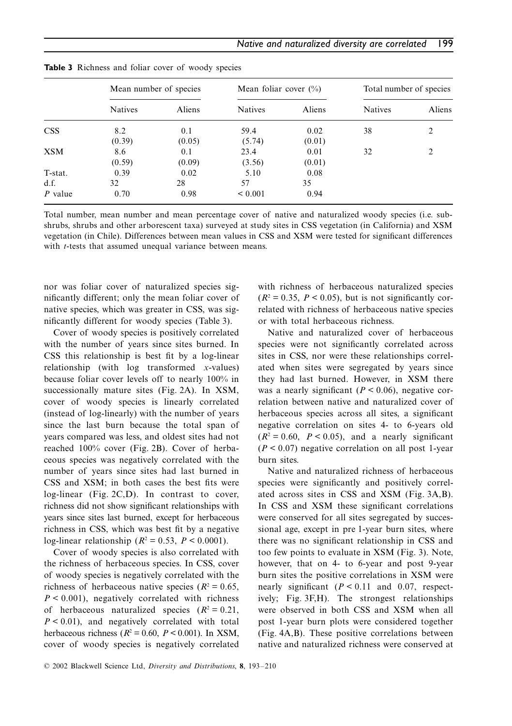|            | Mean number of species |        | Mean foliar cover $(\%)$ |        | Total number of species |               |
|------------|------------------------|--------|--------------------------|--------|-------------------------|---------------|
|            | <b>Natives</b>         | Aliens | <b>Natives</b>           | Aliens | <b>Natives</b>          | Aliens        |
| <b>CSS</b> | 8.2                    | 0.1    | 59.4                     | 0.02   | 38                      | 2             |
|            | (0.39)                 | (0.05) | (5.74)                   | (0.01) |                         |               |
| <b>XSM</b> | 8.6                    | 0.1    | 23.4                     | 0.01   | 32                      | $\mathcal{L}$ |
|            | (0.59)                 | (0.09) | (3.56)                   | (0.01) |                         |               |
| T-stat.    | 0.39                   | 0.02   | 5.10                     | 0.08   |                         |               |
| d.f.       | 32                     | 28     | 57                       | 35     |                         |               |
| $P$ value  | 0.70                   | 0.98   | ${}_{0.001}$             | 0.94   |                         |               |

**Table 3** Richness and foliar cover of woody species

Total number, mean number and mean percentage cover of native and naturalized woody species (i.e. subshrubs, shrubs and other arborescent taxa) surveyed at study sites in CSS vegetation (in California) and XSM vegetation (in Chile). Differences between mean values in CSS and XSM were tested for significant differences with *t*-tests that assumed unequal variance between means.

nor was foliar cover of naturalized species significantly different; only the mean foliar cover of native species, which was greater in CSS, was significantly different for woody species (Table 3).

Cover of woody species is positively correlated with the number of years since sites burned. In CSS this relationship is best fit by a log-linear relationship (with log transformed *x*-values) because foliar cover levels off to nearly 100% in successionally mature sites (Fig. 2A). In XSM, cover of woody species is linearly correlated (instead of log-linearly) with the number of years since the last burn because the total span of years compared was less, and oldest sites had not reached 100% cover (Fig. 2B). Cover of herbaceous species was negatively correlated with the number of years since sites had last burned in CSS and XSM; in both cases the best fits were log-linear (Fig. 2C,D). In contrast to cover, richness did not show significant relationships with years since sites last burned, except for herbaceous richness in CSS, which was best fit by a negative log-linear relationship ( $R^2 = 0.53$ ,  $P < 0.0001$ ).

Cover of woody species is also correlated with the richness of herbaceous species. In CSS, cover of woody species is negatively correlated with the richness of herbaceous native species ( $R^2 = 0.65$ , *P* < 0.001), negatively correlated with richness of herbaceous naturalized species  $(R^2 = 0.21)$ , *P* < 0.01), and negatively correlated with total herbaceous richness (*R*<sup>2</sup> = 0.60, *P* < 0.001). In XSM, cover of woody species is negatively correlated with richness of herbaceous naturalized species  $(R<sup>2</sup> = 0.35, P < 0.05)$ , but is not significantly correlated with richness of herbaceous native species or with total herbaceous richness.

Native and naturalized cover of herbaceous species were not significantly correlated across sites in CSS, nor were these relationships correlated when sites were segregated by years since they had last burned. However, in XSM there was a nearly significant  $(P < 0.06)$ , negative correlation between native and naturalized cover of herbaceous species across all sites, a significant negative correlation on sites 4- to 6-years old  $(R<sup>2</sup> = 0.60, P < 0.05)$ , and a nearly significant  $(P < 0.07)$  negative correlation on all post 1-year burn sites.

Native and naturalized richness of herbaceous species were significantly and positively correlated across sites in CSS and XSM (Fig. 3A,B). In CSS and XSM these significant correlations were conserved for all sites segregated by successional age, except in pre 1-year burn sites, where there was no significant relationship in CSS and too few points to evaluate in XSM (Fig. 3). Note, however, that on 4- to 6-year and post 9-year burn sites the positive correlations in XSM were nearly significant  $(P < 0.11$  and 0.07, respectively; Fig. 3F,H). The strongest relationships were observed in both CSS and XSM when all post 1-year burn plots were considered together (Fig. 4A,B). These positive correlations between native and naturalized richness were conserved at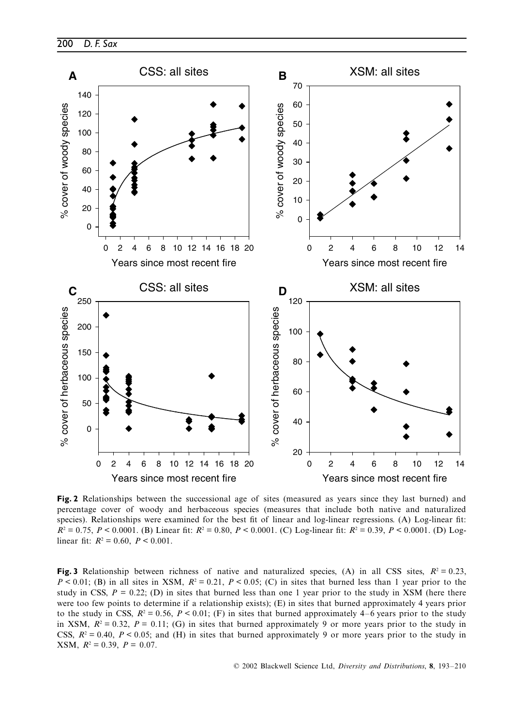

**Fig. 2** Relationships between the successional age of sites (measured as years since they last burned) and percentage cover of woody and herbaceous species (measures that include both native and naturalized species). Relationships were examined for the best fit of linear and log-linear regressions. (A) Log-linear fit:  $R^2 = 0.75$ ,  $P < 0.0001$ . (B) Linear fit:  $R^2 = 0.80$ ,  $P < 0.0001$ . (C) Log-linear fit:  $R^2 = 0.39$ ,  $P < 0.0001$ . (D) Loglinear fit:  $R^2 = 0.60$ ,  $P < 0.001$ .

**Fig. 3** Relationship between richness of native and naturalized species, (A) in all CSS sites,  $R^2 = 0.23$ ,  $P < 0.01$ ; (B) in all sites in XSM,  $R^2 = 0.21$ ,  $P < 0.05$ ; (C) in sites that burned less than 1 year prior to the study in CSS,  $P = 0.22$ ; (D) in sites that burned less than one 1 year prior to the study in XSM (here there were too few points to determine if a relationship exists); (E) in sites that burned approximately 4 years prior to the study in CSS,  $R^2 = 0.56$ ,  $P < 0.01$ ; (F) in sites that burned approximately 4–6 years prior to the study in XSM,  $R^2 = 0.32$ ,  $P = 0.11$ ; (G) in sites that burned approximately 9 or more years prior to the study in CSS,  $R^2 = 0.40$ ,  $P < 0.05$ ; and (H) in sites that burned approximately 9 or more years prior to the study in  $XSM$ ,  $R^2 = 0.39$ ,  $P = 0.07$ .

© 2002 Blackwell Science Ltd, *Diversity and Distributions*, **8**, 193–210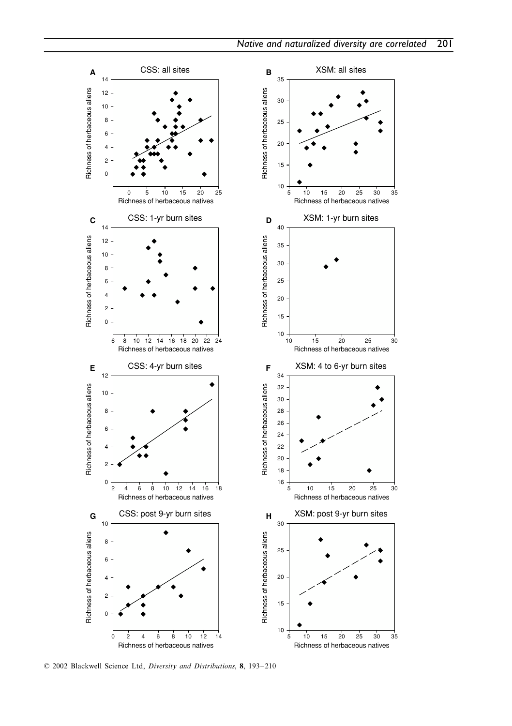

© 2002 Blackwell Science Ltd, *Diversity and Distributions*, **8**, 193–210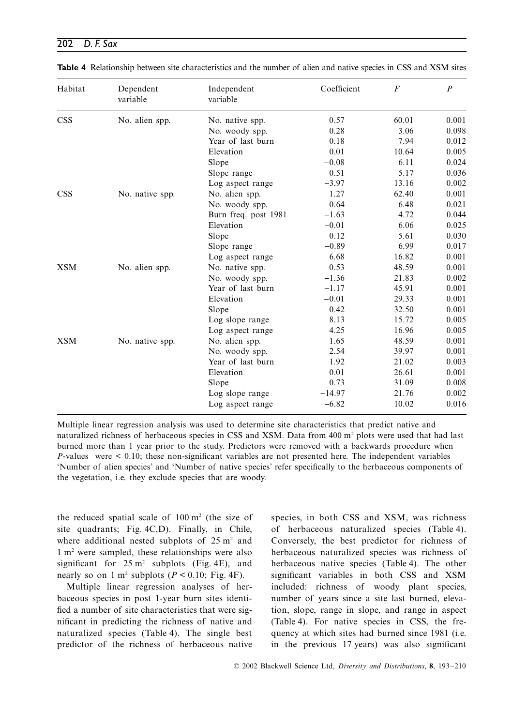#### 202 *D. F. Sax*

| Habitat    | Dependent<br>variable | Independent<br>variable | Coefficient | F     | $\boldsymbol{P}$ |
|------------|-----------------------|-------------------------|-------------|-------|------------------|
| <b>CSS</b> | No. alien spp.        | No. native spp.         | 0.57        | 60.01 | 0.001            |
|            |                       | No. woody spp.          | 0.28        | 3.06  | 0.098            |
|            |                       | Year of last burn       | 0.18        | 7.94  | 0.012            |
|            |                       | Elevation               | 0.01        | 10.64 | 0.005            |
|            |                       | Slope                   | $-0.08$     | 6.11  | 0.024            |
|            |                       | Slope range             | 0.51        | 5.17  | 0.036            |
|            |                       | Log aspect range        | $-3.97$     | 13.16 | 0.002            |
| <b>CSS</b> | No. native spp.       | No. alien spp.          | 1.27        | 62.40 | 0.001            |
|            |                       | No. woody spp.          | $-0.64$     | 6.48  | 0.021            |
|            |                       | Burn freq. post 1981    | $-1.63$     | 4.72  | 0.044            |
|            |                       | Elevation               | $-0.01$     | 6.06  | 0.025            |
|            |                       | Slope                   | 0.12        | 5.61  | 0.030            |
|            |                       | Slope range             | $-0.89$     | 6.99  | 0.017            |
|            |                       | Log aspect range        | 6.68        | 16.82 | 0.001            |
| <b>XSM</b> | No. alien spp.        | No. native spp.         | 0.53        | 48.59 | 0.001            |
|            |                       | No. woody spp.          | $-1.36$     | 21.83 | 0.002            |
|            |                       | Year of last burn       | $-1.17$     | 45.91 | 0.001            |
|            |                       | Elevation               | $-0.01$     | 29.33 | 0.001            |
|            |                       | Slope                   | $-0.42$     | 32.50 | 0.001            |
|            |                       | Log slope range         | 8.13        | 15.72 | 0.005            |
|            |                       | Log aspect range        | 4.25        | 16.96 | 0.005            |
| <b>XSM</b> | No. native spp.       | No. alien spp.          | 1.65        | 48.59 | 0.001            |
|            |                       | No. woody spp.          | 2.54        | 39.97 | 0.001            |
|            |                       | Year of last burn       | 1.92        | 21.02 | 0.003            |
|            |                       | Elevation               | 0.01        | 26.61 | 0.001            |
|            |                       | Slope                   | 0.73        | 31.09 | 0.008            |
|            |                       | Log slope range         | $-14.97$    | 21.76 | 0.002            |
|            |                       | Log aspect range        | $-6.82$     | 10.02 | 0.016            |

**Table 4** Relationship between site characteristics and the number of alien and native species in CSS and XSM sites

Multiple linear regression analysis was used to determine site characteristics that predict native and naturalized richness of herbaceous species in CSS and XSM. Data from 400 m<sup>2</sup> plots were used that had last burned more than 1 year prior to the study. Predictors were removed with a backwards procedure when *P*-values were < 0.10; these non-significant variables are not presented here. The independent variables 'Number of alien species' and 'Number of native species' refer specifically to the herbaceous components of the vegetation, i.e. they exclude species that are woody.

the reduced spatial scale of  $100 \text{ m}^2$  (the size of site quadrants; Fig. 4C,D). Finally, in Chile, where additional nested subplots of  $25 \text{ m}^2$  and 1 m2 were sampled, these relationships were also significant for  $25 \text{ m}^2$  subplots (Fig. 4E), and nearly so on  $1 \text{ m}^2$  subplots ( $P < 0.10$ ; Fig. 4F).

Multiple linear regression analyses of herbaceous species in post 1-year burn sites identified a number of site characteristics that were significant in predicting the richness of native and naturalized species (Table 4). The single best predictor of the richness of herbaceous native species, in both CSS and XSM, was richness of herbaceous naturalized species (Table 4). Conversely, the best predictor for richness of herbaceous naturalized species was richness of herbaceous native species (Table 4). The other significant variables in both CSS and XSM included: richness of woody plant species, number of years since a site last burned, elevation, slope, range in slope, and range in aspect (Table 4). For native species in CSS, the frequency at which sites had burned since 1981 (i.e. in the previous 17 years) was also significant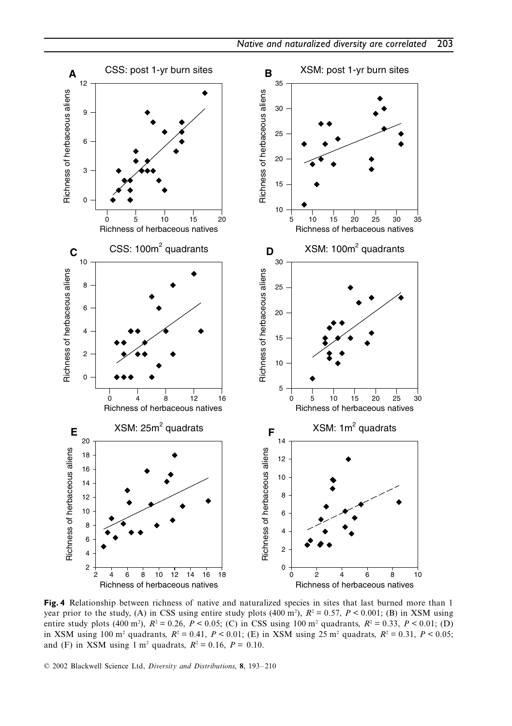

**Fig. 4** Relationship between richness of native and naturalized species in sites that last burned more than 1 year prior to the study, (A) in CSS using entire study plots  $(400 \text{ m}^2)$ ,  $R^2 = 0.57$ ,  $P < 0.001$ ; (B) in XSM using entire study plots (400 m<sup>2</sup>),  $R^2 = 0.26$ ,  $P < 0.05$ ; (C) in CSS using 100 m<sup>2</sup> quadrants,  $R^2 = 0.33$ ,  $P < 0.01$ ; (D) in XSM using 100 m<sup>2</sup> quadrants,  $R^2 = 0.41$ ,  $P < 0.01$ ; (E) in XSM using 25 m<sup>2</sup> quadrats,  $R^2 = 0.31$ ,  $P < 0.05$ ; and (F) in XSM using  $1 \text{ m}^2$  quadrats,  $R^2 = 0.16$ ,  $P = 0.10$ .

© 2002 Blackwell Science Ltd, *Diversity and Distributions*, **8**, 193–210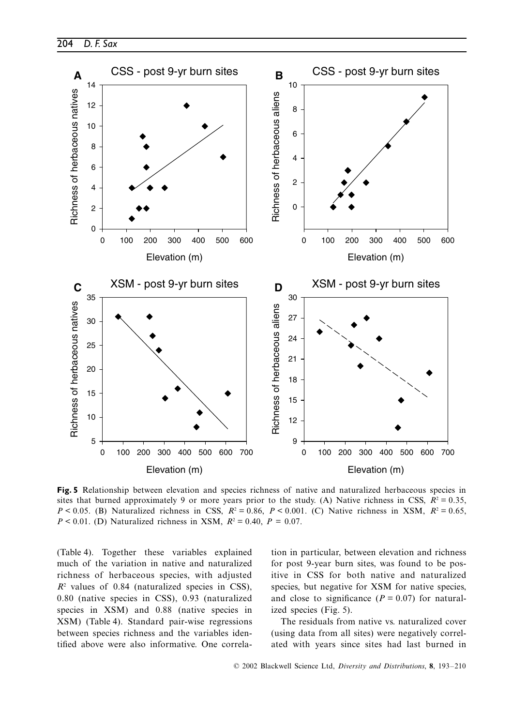

**Fig. 5** Relationship between elevation and species richness of native and naturalized herbaceous species in sites that burned approximately 9 or more years prior to the study. (A) Native richness in CSS,  $R^2 = 0.35$ ,  $P < 0.05$ . (B) Naturalized richness in CSS,  $R^2 = 0.86$ ,  $P < 0.001$ . (C) Native richness in XSM,  $R^2 = 0.65$ , *P* < 0.01. (D) Naturalized richness in XSM,  $R^2 = 0.40$ ,  $P = 0.07$ .

(Table 4). Together these variables explained much of the variation in native and naturalized richness of herbaceous species, with adjusted  $R<sup>2</sup>$  values of 0.84 (naturalized species in CSS), 0.80 (native species in CSS), 0.93 (naturalized species in XSM) and 0.88 (native species in XSM) (Table 4). Standard pair-wise regressions between species richness and the variables identified above were also informative. One correlation in particular, between elevation and richness for post 9-year burn sites, was found to be positive in CSS for both native and naturalized species, but negative for XSM for native species, and close to significance  $(P = 0.07)$  for naturalized species (Fig. 5).

The residuals from native vs. naturalized cover (using data from all sites) were negatively correlated with years since sites had last burned in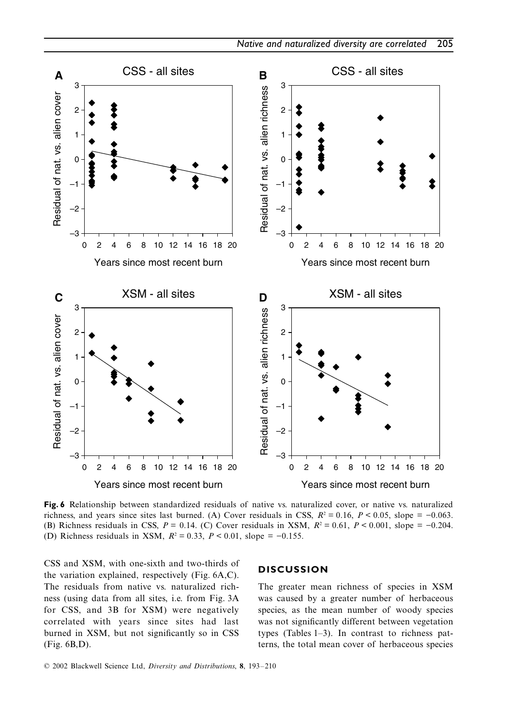

**Fig. 6** Relationship between standardized residuals of native vs. naturalized cover, or native vs. naturalized richness, and years since sites last burned. (A) Cover residuals in CSS,  $R^2 = 0.16$ ,  $P < 0.05$ , slope = -0.063. (B) Richness residuals in CSS,  $P = 0.14$ . (C) Cover residuals in XSM,  $R^2 = 0.61$ ,  $P < 0.001$ , slope = -0.204. (D) Richness residuals in XSM,  $R^2 = 0.33$ ,  $P < 0.01$ , slope = -0.155.

CSS and XSM, with one-sixth and two-thirds of the variation explained, respectively (Fig. 6A,C). The residuals from native vs. naturalized richness (using data from all sites, i.e. from Fig. 3A for CSS, and 3B for XSM) were negatively correlated with years since sites had last burned in XSM, but not significantly so in CSS (Fig. 6B,D).

#### **DISCUSSION**

The greater mean richness of species in XSM was caused by a greater number of herbaceous species, as the mean number of woody species was not significantly different between vegetation types (Tables 1–3). In contrast to richness patterns, the total mean cover of herbaceous species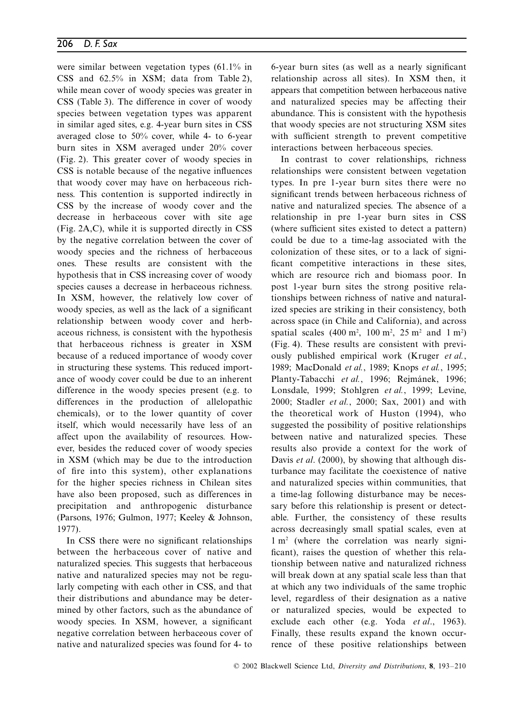were similar between vegetation types (61.1% in CSS and 62.5% in XSM; data from Table 2), while mean cover of woody species was greater in CSS (Table 3). The difference in cover of woody species between vegetation types was apparent in similar aged sites, e.g. 4-year burn sites in CSS averaged close to 50% cover, while 4- to 6-year burn sites in XSM averaged under 20% cover (Fig. 2). This greater cover of woody species in CSS is notable because of the negative influences that woody cover may have on herbaceous richness. This contention is supported indirectly in CSS by the increase of woody cover and the decrease in herbaceous cover with site age (Fig. 2A,C), while it is supported directly in CSS by the negative correlation between the cover of woody species and the richness of herbaceous ones. These results are consistent with the hypothesis that in CSS increasing cover of woody species causes a decrease in herbaceous richness. In XSM, however, the relatively low cover of woody species, as well as the lack of a significant relationship between woody cover and herbaceous richness, is consistent with the hypothesis that herbaceous richness is greater in XSM because of a reduced importance of woody cover in structuring these systems. This reduced importance of woody cover could be due to an inherent difference in the woody species present (e.g. to differences in the production of allelopathic chemicals), or to the lower quantity of cover itself, which would necessarily have less of an affect upon the availability of resources. However, besides the reduced cover of woody species in XSM (which may be due to the introduction of fire into this system), other explanations for the higher species richness in Chilean sites have also been proposed, such as differences in precipitation and anthropogenic disturbance (Parsons, 1976; Gulmon, 1977; Keeley & Johnson, 1977).

In CSS there were no significant relationships between the herbaceous cover of native and naturalized species. This suggests that herbaceous native and naturalized species may not be regularly competing with each other in CSS, and that their distributions and abundance may be determined by other factors, such as the abundance of woody species. In XSM, however, a significant negative correlation between herbaceous cover of native and naturalized species was found for 4- to 6-year burn sites (as well as a nearly significant relationship across all sites). In XSM then, it appears that competition between herbaceous native and naturalized species may be affecting their abundance. This is consistent with the hypothesis that woody species are not structuring XSM sites with sufficient strength to prevent competitive interactions between herbaceous species.

In contrast to cover relationships, richness relationships were consistent between vegetation types. In pre 1-year burn sites there were no significant trends between herbaceous richness of native and naturalized species. The absence of a relationship in pre 1-year burn sites in CSS (where sufficient sites existed to detect a pattern) could be due to a time-lag associated with the colonization of these sites, or to a lack of significant competitive interactions in these sites, which are resource rich and biomass poor. In post 1-year burn sites the strong positive relationships between richness of native and naturalized species are striking in their consistency, both across space (in Chile and California), and across spatial scales  $(400 \text{ m}^2, 100 \text{ m}^2, 25 \text{ m}^2 \text{ and } 1 \text{ m}^2)$ (Fig. 4). These results are consistent with previously published empirical work (Kruger *et al.*, 1989; MacDonald *et al.*, 1989; Knops *et al.*, 1995; Planty-Tabacchi *et al.*, 1996; Rejmánek, 1996; Lonsdale, 1999; Stohlgren *et al.*, 1999; Levine, 2000; Stadler *et al.*, 2000; Sax, 2001) and with the theoretical work of Huston (1994), who suggested the possibility of positive relationships between native and naturalized species. These results also provide a context for the work of Davis *et al*. (2000), by showing that although disturbance may facilitate the coexistence of native and naturalized species within communities, that a time-lag following disturbance may be necessary before this relationship is present or detectable. Further, the consistency of these results across decreasingly small spatial scales, even at 1 m2 (where the correlation was nearly significant), raises the question of whether this relationship between native and naturalized richness will break down at any spatial scale less than that at which any two individuals of the same trophic level, regardless of their designation as a native or naturalized species, would be expected to exclude each other (e.g. Yoda *et al*., 1963). Finally, these results expand the known occurrence of these positive relationships between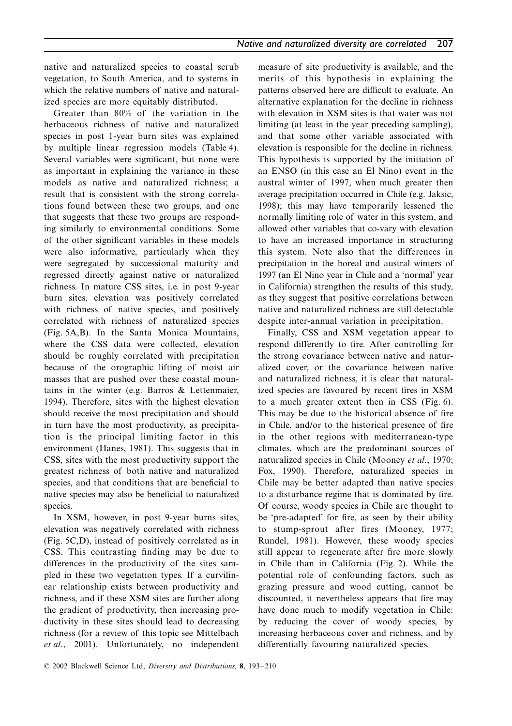native and naturalized species to coastal scrub vegetation, to South America, and to systems in which the relative numbers of native and naturalized species are more equitably distributed.

Greater than 80% of the variation in the herbaceous richness of native and naturalized species in post 1-year burn sites was explained by multiple linear regression models (Table 4). Several variables were significant, but none were as important in explaining the variance in these models as native and naturalized richness; a result that is consistent with the strong correlations found between these two groups, and one that suggests that these two groups are responding similarly to environmental conditions. Some of the other significant variables in these models were also informative, particularly when they were segregated by successional maturity and regressed directly against native or naturalized richness. In mature CSS sites, i.e. in post 9-year burn sites, elevation was positively correlated with richness of native species, and positively correlated with richness of naturalized species (Fig. 5A,B). In the Santa Monica Mountains, where the CSS data were collected, elevation should be roughly correlated with precipitation because of the orographic lifting of moist air masses that are pushed over these coastal mountains in the winter (e.g. Barros & Lettenmaier, 1994). Therefore, sites with the highest elevation should receive the most precipitation and should in turn have the most productivity, as precipitation is the principal limiting factor in this environment (Hanes, 1981). This suggests that in CSS, sites with the most productivity support the greatest richness of both native and naturalized species, and that conditions that are beneficial to native species may also be beneficial to naturalized species.

In XSM, however, in post 9-year burns sites, elevation was negatively correlated with richness (Fig. 5C,D), instead of positively correlated as in CSS. This contrasting finding may be due to differences in the productivity of the sites sampled in these two vegetation types. If a curvilinear relationship exists between productivity and richness, and if these XSM sites are further along the gradient of productivity, then increasing productivity in these sites should lead to decreasing richness (for a review of this topic see Mittelbach *et al*., 2001). Unfortunately, no independent

measure of site productivity is available, and the merits of this hypothesis in explaining the patterns observed here are difficult to evaluate. An alternative explanation for the decline in richness with elevation in XSM sites is that water was not limiting (at least in the year preceding sampling), and that some other variable associated with elevation is responsible for the decline in richness. This hypothesis is supported by the initiation of an ENSO (in this case an El Nino) event in the austral winter of 1997, when much greater then average precipitation occurred in Chile (e.g. Jaksic, 1998); this may have temporarily lessened the normally limiting role of water in this system, and allowed other variables that co-vary with elevation to have an increased importance in structuring this system. Note also that the differences in precipitation in the boreal and austral winters of 1997 (an El Nino year in Chile and a 'normal' year in California) strengthen the results of this study, as they suggest that positive correlations between native and naturalized richness are still detectable despite inter-annual variation in precipitation.

Finally, CSS and XSM vegetation appear to respond differently to fire. After controlling for the strong covariance between native and naturalized cover, or the covariance between native and naturalized richness, it is clear that naturalized species are favoured by recent fires in XSM to a much greater extent then in CSS (Fig. 6). This may be due to the historical absence of fire in Chile, and/or to the historical presence of fire in the other regions with mediterranean-type climates, which are the predominant sources of naturalized species in Chile (Mooney *et al*., 1970; Fox, 1990). Therefore, naturalized species in Chile may be better adapted than native species to a disturbance regime that is dominated by fire. Of course, woody species in Chile are thought to be 'pre-adapted' for fire, as seen by their ability to stump-sprout after fires (Mooney, 1977; Rundel, 1981). However, these woody species still appear to regenerate after fire more slowly in Chile than in California (Fig. 2). While the potential role of confounding factors, such as grazing pressure and wood cutting, cannot be discounted, it nevertheless appears that fire may have done much to modify vegetation in Chile: by reducing the cover of woody species, by increasing herbaceous cover and richness, and by differentially favouring naturalized species.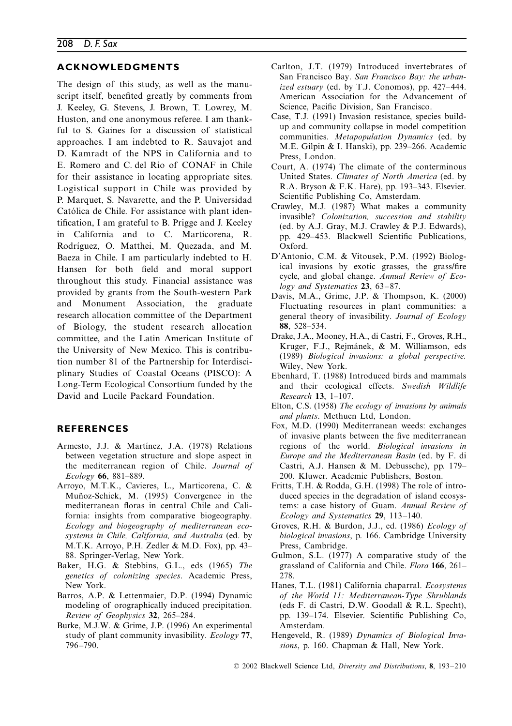# **ACKNOWLEDGMENTS**

The design of this study, as well as the manuscript itself, benefited greatly by comments from J. Keeley, G. Stevens, J. Brown, T. Lowrey, M. Huston, and one anonymous referee. I am thankful to S. Gaines for a discussion of statistical approaches. I am indebted to R. Sauvajot and D. Kamradt of the NPS in California and to E. Romero and C. del Rio of CONAF in Chile for their assistance in locating appropriate sites. Logistical support in Chile was provided by P. Marquet, S. Navarette, and the P. Universidad Católica de Chile. For assistance with plant identification, I am grateful to B. Prigge and J. Keeley in California and to C. Marticorena, R. Rodríguez, O. Matthei, M. Quezada, and M. Baeza in Chile. I am particularly indebted to H. Hansen for both field and moral support throughout this study. Financial assistance was provided by grants from the South-western Park and Monument Association, the graduate research allocation committee of the Department of Biology, the student research allocation committee, and the Latin American Institute of the University of New Mexico. This is contribution number 81 of the Partnership for Interdisciplinary Studies of Coastal Oceans (PISCO): A Long-Term Ecological Consortium funded by the David and Lucile Packard Foundation.

## **REFERENCES**

- Armesto, J.J. & Martínez, J.A. (1978) Relations between vegetation structure and slope aspect in the mediterranean region of Chile. *Journal of Ecology* **66**, 881–889.
- Arroyo, M.T.K., Cavieres, L., Marticorena, C. & Muñoz-Schick, M. (1995) Convergence in the mediterranean floras in central Chile and California: insights from comparative biogeography. *Ecology and biogeography of mediterranean ecosystems in Chile, California, and Australia* (ed. by M.T.K. Arroyo, P.H. Zedler & M.D. Fox), pp. 43– 88. Springer-Verlag, New York.
- Baker, H.G. & Stebbins, G.L., eds (1965) *The genetics of colonizing species*. Academic Press, New York.
- Barros, A.P. & Lettenmaier, D.P. (1994) Dynamic modeling of orographically induced precipitation. *Review of Geophysics* **32**, 265–284.
- Burke, M.J.W. & Grime, J.P. (1996) An experimental study of plant community invasibility. *Ecology* **77**, 796–790.
- Carlton, J.T. (1979) Introduced invertebrates of San Francisco Bay. *San Francisco Bay: the urbanized estuary* (ed. by T.J. Conomos), pp. 427–444. American Association for the Advancement of Science, Pacific Division, San Francisco.
- Case, T.J. (1991) Invasion resistance, species buildup and community collapse in model competition communities. *Metapopulation Dynamics* (ed. by M.E. Gilpin & I. Hanski), pp. 239–266. Academic Press, London.
- Court, A. (1974) The climate of the conterminous United States. *Climates of North America* (ed. by R.A. Bryson & F.K. Hare), pp. 193–343. Elsevier. Scientific Publishing Co, Amsterdam.
- Crawley, M.J. (1987) What makes a community invasible? *Colonization, succession and stability* (ed. by A.J. Gray, M.J. Crawley & P.J. Edwards), pp. 429–453. Blackwell Scientific Publications, Oxford.
- D'Antonio, C.M. & Vitousek, P.M. (1992) Biological invasions by exotic grasses, the grass/fire cycle, and global change. *Annual Review of Ecology and Systematics* **23**, 63–87.
- Davis, M.A., Grime, J.P. & Thompson, K. (2000) Fluctuating resources in plant communities: a general theory of invasibility. *Journal of Ecology* **88**, 528–534.
- Drake, J.A., Mooney, H.A., di Castri, F., Groves, R.H., Kruger, F.J., Rejmánek, & M. Williamson, eds (1989) *Biological invasions: a global perspective.* Wiley, New York.
- Ebenhard, T. (1988) Introduced birds and mammals and their ecological effects. *Swedish Wildlife Research* **13**, 1–107.
- Elton, C.S. (1958) *The ecology of invasions by animals and plants*. Methuen Ltd, London.
- Fox, M.D. (1990) Mediterranean weeds: exchanges of invasive plants between the five mediterranean regions of the world. *Biological invasions in Europe and the Mediterranean Basin* (ed. by F. di Castri, A.J. Hansen & M. Debussche), pp. 179– 200. Kluwer. Academic Publishers, Boston.
- Fritts, T.H. & Rodda, G.H. (1998) The role of introduced species in the degradation of island ecosystems: a case history of Guam. *Annual Review of Ecology and Systematics* **29**, 113–140.
- Groves, R.H. & Burdon, J.J., ed. (1986) *Ecology of biological invasions*, p. 166. Cambridge University Press, Cambridge.
- Gulmon, S.L. (1977) A comparative study of the grassland of California and Chile. *Flora* **166**, 261– 278.
- Hanes, T.L. (1981) California chaparral. *Ecosystems of the World 11: Mediterranean-Type Shrublands* (eds F. di Castri, D.W. Goodall & R.L. Specht), pp. 139–174. Elsevier. Scientific Publishing Co, Amsterdam.
- Hengeveld, R. (1989) *Dynamics of Biological Invasions*, p. 160. Chapman & Hall, New York.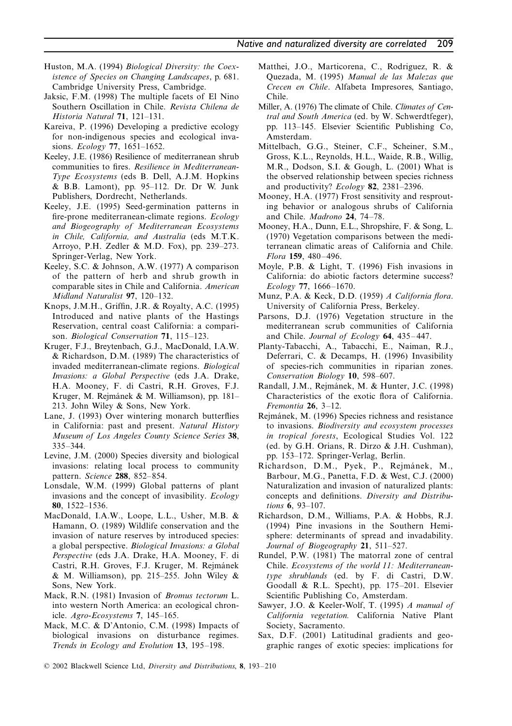- Huston, M.A. (1994) *Biological Diversity: the Coexistence of Species on Changing Landscapes*, p. 681. Cambridge University Press, Cambridge.
- Jaksic, F.M. (1998) The multiple facets of El Nino Southern Oscillation in Chile. *Revista Chilena de Historia Natural* **71**, 121–131.
- Kareiva, P. (1996) Developing a predictive ecology for non-indigenous species and ecological invasions. *Ecology* **77**, 1651–1652.
- Keeley, J.E. (1986) Resilience of mediterranean shrub communities to fires. *Resilience in Mediterranean-Type Ecosystems* (eds B. Dell, A.J.M. Hopkins & B.B. Lamont), pp. 95–112. Dr. Dr W. Junk Publishers, Dordrecht, Netherlands.
- Keeley, J.E. (1995) Seed-germination patterns in fire-prone mediterranean-climate regions. *Ecology and Biogeography of Mediterranean Ecosystems in Chile, California, and Australia* (eds M.T.K. Arroyo, P.H. Zedler & M.D. Fox), pp. 239–273. Springer-Verlag, New York.
- Keeley, S.C. & Johnson, A.W. (1977) A comparison of the pattern of herb and shrub growth in comparable sites in Chile and California. *American Midland Naturalist* **97**, 120–132.
- Knops, J.M.H., Griffin, J.R. & Royalty, A.C. (1995) Introduced and native plants of the Hastings Reservation, central coast California: a comparison. *Biological Conservation* **71**, 115–123.
- Kruger, F.J., Breytenbach, G.J., MacDonald, I.A.W. & Richardson, D.M. (1989) The characteristics of invaded mediterranean-climate regions. *Biological Invasions: a Global Perspective* (eds J.A. Drake, H.A. Mooney, F. di Castri, R.H. Groves, F.J. Kruger, M. Rejmánek & M. Williamson), pp. 181– 213. John Wiley & Sons, New York.
- Lane, J. (1993) Over wintering monarch butterflies in California: past and present. *Natural History Museum of Los Angeles County Science Series* **38**, 335–344.
- Levine, J.M. (2000) Species diversity and biological invasions: relating local process to community pattern. *Science* **288**, 852–854.
- Lonsdale, W.M. (1999) Global patterns of plant invasions and the concept of invasibility. *Ecology* **80**, 1522–1536.
- MacDonald, I.A.W., Loope, L.L., Usher, M.B. & Hamann, O. (1989) Wildlife conservation and the invasion of nature reserves by introduced species: a global perspective. *Biological Invasions: a Global Perspective* (eds J.A. Drake, H.A. Mooney, F. di Castri, R.H. Groves, F.J. Kruger, M. Rejmánek  $&$  M. Williamson), pp. 215–255. John Wiley  $&$ Sons, New York.
- Mack, R.N. (1981) Invasion of *Bromus tectorum* L. into western North America: an ecological chronicle. *Agro-Ecosystems* **7**, 145–165.
- Mack, M.C. & D'Antonio, C.M. (1998) Impacts of biological invasions on disturbance regimes. *Trends in Ecology and Evolution* **13**, 195–198.
- Matthei, J.O., Marticorena, C., Rodriguez, R. & Quezada, M. (1995) *Manual de las Malezas que Crecen en Chile*. Alfabeta Impresores, Santiago, Chile.
- Miller, A. (1976) The climate of Chile. *Climates of Central and South America* (ed. by W. Schwerdtfeger), pp. 113–145. Elsevier Scientific Publishing Co, Amsterdam.
- Mittelbach, G.G., Steiner, C.F., Scheiner, S.M., Gross, K.L., Reynolds, H.L., Waide, R.B., Willig, M.R., Dodson, S.I. & Gough, L. (2001) What is the observed relationship between species richness and productivity? *Ecology* **82**, 2381–2396.
- Mooney, H.A. (1977) Frost sensitivity and resprouting behavior or analogous shrubs of California and Chile. *Madrono* **24**, 74–78.
- Mooney, H.A., Dunn, E.L., Shropshire, F. & Song, L. (1970) Vegetation comparisons between the mediterranean climatic areas of California and Chile. *Flora* **159**, 480–496.
- Moyle, P.B. & Light, T. (1996) Fish invasions in California: do abiotic factors determine success? *Ecology* **77**, 1666–1670.
- Munz, P.A. & Keck, D.D. (1959) *A California flora*. University of California Press, Berkeley.
- Parsons, D.J. (1976) Vegetation structure in the mediterranean scrub communities of California and Chile. *Journal of Ecology* **64**, 435– 447.
- Planty-Tabacchi, A., Tabacchi, E., Naiman, R.J., Deferrari, C. & Decamps, H. (1996) Invasibility of species-rich communities in riparian zones. *Conservation Biology* **10**, 598–607.
- Randall, J.M., Rejmánek, M. & Hunter, J.C. (1998) Characteristics of the exotic flora of California. *Fremontia* **26**, 3–12.
- Rejmánek, M. (1996) Species richness and resistance to invasions. *Biodiversity and ecosystem processes in tropical forests*, Ecological Studies Vol. 122 (ed. by G.H. Orians, R. Dirzo & J.H. Cushman), pp. 153–172. Springer-Verlag, Berlin.
- Richardson, D.M., Pyek, P., Rejmánek, M., Barbour, M.G., Panetta, F.D. & West, C.J. (2000) Naturalization and invasion of naturalized plants: concepts and definitions. *Diversity and Distributions* **6**, 93–107.
- Richardson, D.M., Williams, P.A. & Hobbs, R.J. (1994) Pine invasions in the Southern Hemisphere: determinants of spread and invadability. *Journal of Biogeography* **21**, 511–527.
- Rundel, P.W. (1981) The matorral zone of central Chile. *Ecosystems of the world 11: Mediterraneantype shrublands* (ed. by F. di Castri, D.W. Goodall & R.L. Specht), pp. 175–201. Elsevier Scientific Publishing Co, Amsterdam.
- Sawyer, J.O. & Keeler-Wolf, T. (1995) *A manual of California vegetation.* California Native Plant Society, Sacramento.
- Sax, D.F. (2001) Latitudinal gradients and geographic ranges of exotic species: implications for
- © 2002 Blackwell Science Ltd, *Diversity and Distributions*, **8**, 193–210